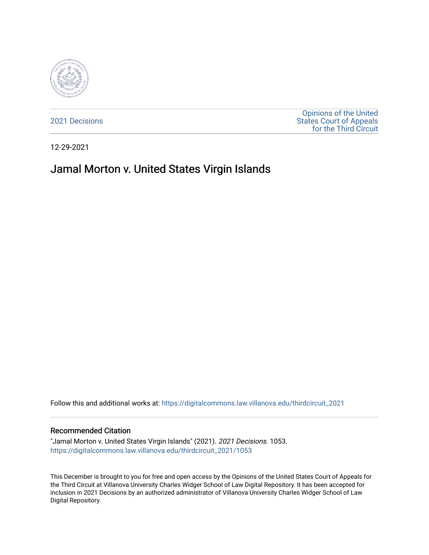

[2021 Decisions](https://digitalcommons.law.villanova.edu/thirdcircuit_2021)

[Opinions of the United](https://digitalcommons.law.villanova.edu/thirdcircuit)  [States Court of Appeals](https://digitalcommons.law.villanova.edu/thirdcircuit)  [for the Third Circuit](https://digitalcommons.law.villanova.edu/thirdcircuit) 

12-29-2021

# Jamal Morton v. United States Virgin Islands

Follow this and additional works at: [https://digitalcommons.law.villanova.edu/thirdcircuit\\_2021](https://digitalcommons.law.villanova.edu/thirdcircuit_2021?utm_source=digitalcommons.law.villanova.edu%2Fthirdcircuit_2021%2F1053&utm_medium=PDF&utm_campaign=PDFCoverPages) 

#### Recommended Citation

"Jamal Morton v. United States Virgin Islands" (2021). 2021 Decisions. 1053. [https://digitalcommons.law.villanova.edu/thirdcircuit\\_2021/1053](https://digitalcommons.law.villanova.edu/thirdcircuit_2021/1053?utm_source=digitalcommons.law.villanova.edu%2Fthirdcircuit_2021%2F1053&utm_medium=PDF&utm_campaign=PDFCoverPages) 

This December is brought to you for free and open access by the Opinions of the United States Court of Appeals for the Third Circuit at Villanova University Charles Widger School of Law Digital Repository. It has been accepted for inclusion in 2021 Decisions by an authorized administrator of Villanova University Charles Widger School of Law Digital Repository.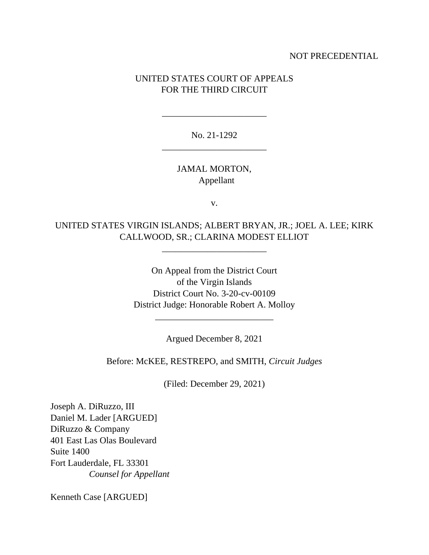### NOT PRECEDENTIAL

## UNITED STATES COURT OF APPEALS FOR THE THIRD CIRCUIT

No. 21-1292 \_\_\_\_\_\_\_\_\_\_\_\_\_\_\_\_\_\_\_\_\_\_\_

\_\_\_\_\_\_\_\_\_\_\_\_\_\_\_\_\_\_\_\_\_\_\_

JAMAL MORTON, Appellant

v.

UNITED STATES VIRGIN ISLANDS; ALBERT BRYAN, JR.; JOEL A. LEE; KIRK CALLWOOD, SR.; CLARINA MODEST ELLIOT

\_\_\_\_\_\_\_\_\_\_\_\_\_\_\_\_\_\_\_\_\_\_\_

On Appeal from the District Court of the Virgin Islands District Court No. 3-20-cv-00109 District Judge: Honorable Robert A. Molloy

Argued December 8, 2021

\_\_\_\_\_\_\_\_\_\_\_\_\_\_\_\_\_\_\_\_\_\_\_\_\_\_

Before: McKEE, RESTREPO, and SMITH, *Circuit Judges*

(Filed: December 29, 2021)

Joseph A. DiRuzzo, III Daniel M. Lader [ARGUED] DiRuzzo & Company 401 East Las Olas Boulevard Suite 1400 Fort Lauderdale, FL 33301  *Counsel for Appellant*

Kenneth Case [ARGUED]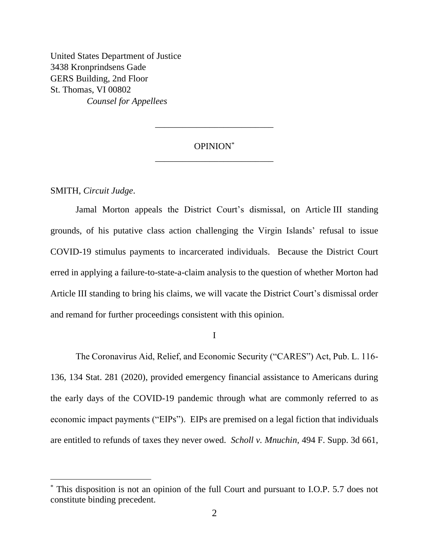United States Department of Justice 3438 Kronprindsens Gade GERS Building, 2nd Floor St. Thomas, VI 00802 *Counsel for Appellees*

## OPINION\* \_\_\_\_\_\_\_\_\_\_\_\_\_\_\_\_\_\_\_\_\_\_\_\_\_\_

\_\_\_\_\_\_\_\_\_\_\_\_\_\_\_\_\_\_\_\_\_\_\_\_\_\_

SMITH, *Circuit Judge*.

Jamal Morton appeals the District Court's dismissal, on Article III standing grounds, of his putative class action challenging the Virgin Islands' refusal to issue COVID-19 stimulus payments to incarcerated individuals. Because the District Court erred in applying a failure-to-state-a-claim analysis to the question of whether Morton had Article III standing to bring his claims, we will vacate the District Court's dismissal order and remand for further proceedings consistent with this opinion.

I

The Coronavirus Aid, Relief, and Economic Security ("CARES") Act, Pub. L. 116- 136, 134 Stat. 281 (2020), provided emergency financial assistance to Americans during the early days of the COVID-19 pandemic through what are commonly referred to as economic impact payments ("EIPs"). EIPs are premised on a legal fiction that individuals are entitled to refunds of taxes they never owed. *Scholl v. Mnuchin*, 494 F. Supp. 3d 661,

<sup>\*</sup> This disposition is not an opinion of the full Court and pursuant to I.O.P. 5.7 does not constitute binding precedent.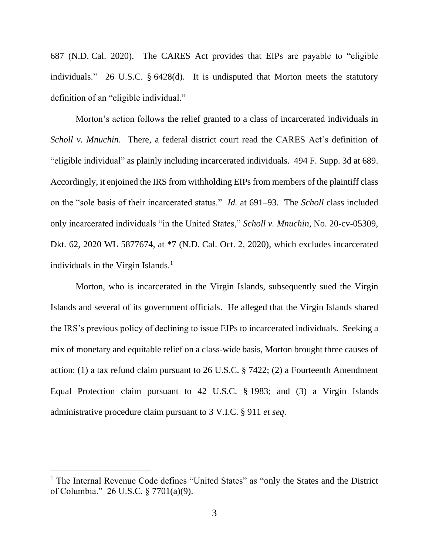687 (N.D. Cal. 2020). The CARES Act provides that EIPs are payable to "eligible individuals." 26 U.S.C. § 6428(d). It is undisputed that Morton meets the statutory definition of an "eligible individual."

Morton's action follows the relief granted to a class of incarcerated individuals in *Scholl v. Mnuchin*. There, a federal district court read the CARES Act's definition of "eligible individual" as plainly including incarcerated individuals. 494 F. Supp. 3d at 689. Accordingly, it enjoined the IRS from withholding EIPs from members of the plaintiff class on the "sole basis of their incarcerated status." *Id.* at 691–93. The *Scholl* class included only incarcerated individuals "in the United States," *Scholl v. Mnuchin*, No. 20-cv-05309, Dkt. 62, 2020 WL 5877674, at \*7 (N.D. Cal. Oct. 2, 2020), which excludes incarcerated individuals in the Virgin Islands. $<sup>1</sup>$ </sup>

Morton, who is incarcerated in the Virgin Islands, subsequently sued the Virgin Islands and several of its government officials. He alleged that the Virgin Islands shared the IRS's previous policy of declining to issue EIPs to incarcerated individuals. Seeking a mix of monetary and equitable relief on a class-wide basis, Morton brought three causes of action: (1) a tax refund claim pursuant to 26 U.S.C. § 7422; (2) a Fourteenth Amendment Equal Protection claim pursuant to 42 U.S.C. § 1983; and (3) a Virgin Islands administrative procedure claim pursuant to 3 V.I.C. § 911 *et seq.*

<sup>&</sup>lt;sup>1</sup> The Internal Revenue Code defines "United States" as "only the States and the District of Columbia." 26 U.S.C. § 7701(a)(9).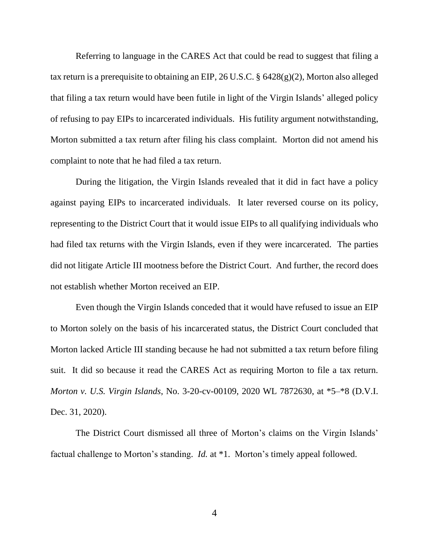Referring to language in the CARES Act that could be read to suggest that filing a tax return is a prerequisite to obtaining an EIP, 26 U.S.C. § 6428(g)(2), Morton also alleged that filing a tax return would have been futile in light of the Virgin Islands' alleged policy of refusing to pay EIPs to incarcerated individuals. His futility argument notwithstanding, Morton submitted a tax return after filing his class complaint. Morton did not amend his complaint to note that he had filed a tax return.

During the litigation, the Virgin Islands revealed that it did in fact have a policy against paying EIPs to incarcerated individuals. It later reversed course on its policy, representing to the District Court that it would issue EIPs to all qualifying individuals who had filed tax returns with the Virgin Islands, even if they were incarcerated. The parties did not litigate Article III mootness before the District Court. And further, the record does not establish whether Morton received an EIP.

Even though the Virgin Islands conceded that it would have refused to issue an EIP to Morton solely on the basis of his incarcerated status, the District Court concluded that Morton lacked Article III standing because he had not submitted a tax return before filing suit. It did so because it read the CARES Act as requiring Morton to file a tax return. *Morton v. U.S. Virgin Islands*, No. 3-20-cv-00109, 2020 WL 7872630, at \*5–\*8 (D.V.I. Dec. 31, 2020).

The District Court dismissed all three of Morton's claims on the Virgin Islands' factual challenge to Morton's standing. *Id.* at \*1. Morton's timely appeal followed.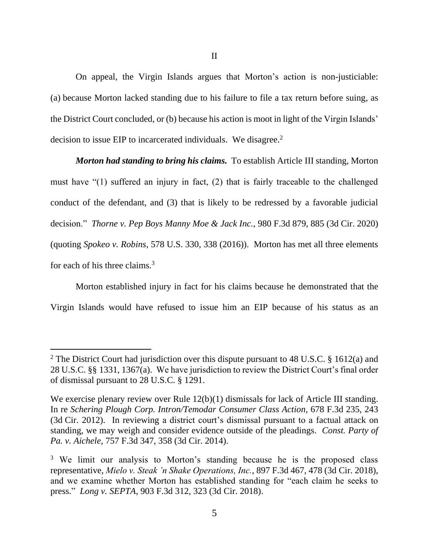On appeal, the Virgin Islands argues that Morton's action is non-justiciable: (a) because Morton lacked standing due to his failure to file a tax return before suing, as the District Court concluded, or (b) because his action is moot in light of the Virgin Islands' decision to issue EIP to incarcerated individuals. We disagree.<sup>2</sup>

*Morton had standing to bring his claims.* To establish Article III standing, Morton must have "(1) suffered an injury in fact, (2) that is fairly traceable to the challenged conduct of the defendant, and (3) that is likely to be redressed by a favorable judicial decision." *Thorne v. Pep Boys Manny Moe & Jack Inc.*, 980 F.3d 879, 885 (3d Cir. 2020) (quoting *Spokeo v. Robins*, 578 U.S. 330, 338 (2016)). Morton has met all three elements for each of his three claims.<sup>3</sup>

Morton established injury in fact for his claims because he demonstrated that the Virgin Islands would have refused to issue him an EIP because of his status as an

<sup>&</sup>lt;sup>2</sup> The District Court had jurisdiction over this dispute pursuant to 48 U.S.C. § 1612(a) and 28 U.S.C. §§ 1331, 1367(a). We have jurisdiction to review the District Court's final order of dismissal pursuant to 28 U.S.C. § 1291.

We exercise plenary review over Rule 12(b)(1) dismissals for lack of Article III standing. In re *Schering Plough Corp. Intron/Temodar Consumer Class Action*, 678 F.3d 235, 243 (3d Cir. 2012). In reviewing a district court's dismissal pursuant to a factual attack on standing, we may weigh and consider evidence outside of the pleadings. *Const. Party of Pa. v. Aichele*, 757 F.3d 347, 358 (3d Cir. 2014).

<sup>&</sup>lt;sup>3</sup> We limit our analysis to Morton's standing because he is the proposed class representative, *Mielo v. Steak 'n Shake Operations, Inc.*, 897 F.3d 467, 478 (3d Cir. 2018), and we examine whether Morton has established standing for "each claim he seeks to press." *Long v. SEPTA*, 903 F.3d 312, 323 (3d Cir. 2018).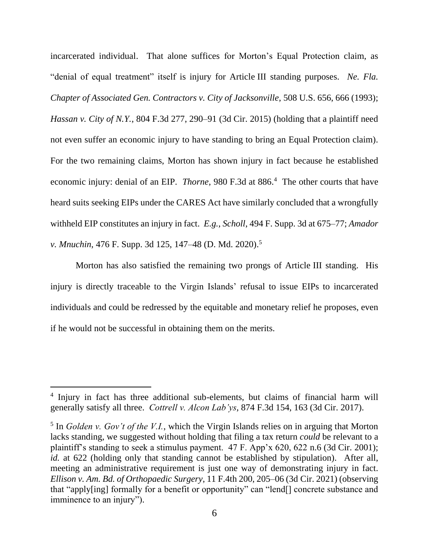incarcerated individual. That alone suffices for Morton's Equal Protection claim, as "denial of equal treatment" itself is injury for Article III standing purposes. *Ne. Fla. Chapter of Associated Gen. Contractors v. City of Jacksonville*, 508 U.S. 656, 666 (1993); *Hassan v. City of N.Y.*, 804 F.3d 277, 290–91 (3d Cir. 2015) (holding that a plaintiff need not even suffer an economic injury to have standing to bring an Equal Protection claim). For the two remaining claims, Morton has shown injury in fact because he established economic injury: denial of an EIP. *Thorne*, 980 F.3d at 886. <sup>4</sup> The other courts that have heard suits seeking EIPs under the CARES Act have similarly concluded that a wrongfully withheld EIP constitutes an injury in fact. *E.g.*, *Scholl*, 494 F. Supp. 3d at 675–77; *Amador v. Mnuchin*, 476 F. Supp. 3d 125, 147–48 (D. Md. 2020).<sup>5</sup>

Morton has also satisfied the remaining two prongs of Article III standing. His injury is directly traceable to the Virgin Islands' refusal to issue EIPs to incarcerated individuals and could be redressed by the equitable and monetary relief he proposes, even if he would not be successful in obtaining them on the merits.

<sup>4</sup> Injury in fact has three additional sub-elements, but claims of financial harm will generally satisfy all three. *Cottrell v. Alcon Lab'ys*, 874 F.3d 154, 163 (3d Cir. 2017).

 $<sup>5</sup>$  In *Golden v. Gov't of the V.I.*, which the Virgin Islands relies on in arguing that Morton</sup> lacks standing, we suggested without holding that filing a tax return *could* be relevant to a plaintiff's standing to seek a stimulus payment. 47 F. App'x 620, 622 n.6 (3d Cir. 2001); *id.* at 622 (holding only that standing cannot be established by stipulation). After all, meeting an administrative requirement is just one way of demonstrating injury in fact. *Ellison v. Am. Bd. of Orthopaedic Surgery*, 11 F.4th 200, 205–06 (3d Cir. 2021) (observing that "apply[ing] formally for a benefit or opportunity" can "lend[] concrete substance and imminence to an injury").